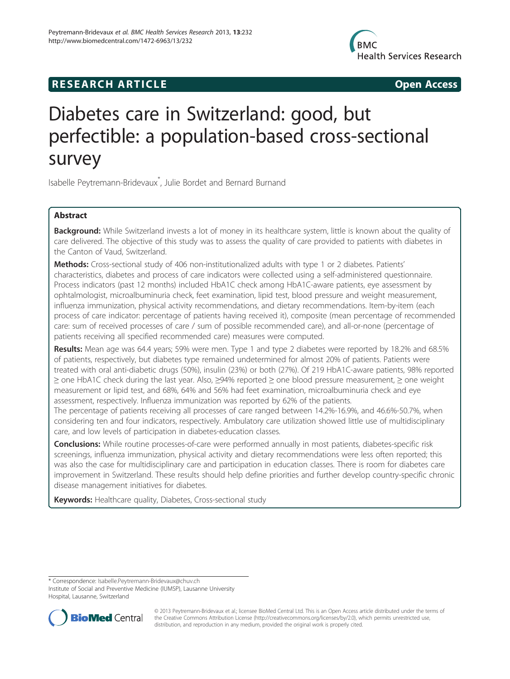

## **RESEARCH ARTICLE Example 2014 COPEN ACCESS**

# Diabetes care in Switzerland: good, but perfectible: a population-based cross-sectional survey

Isabelle Peytremann-Bridevaux\* , Julie Bordet and Bernard Burnand

## Abstract

Background: While Switzerland invests a lot of money in its healthcare system, little is known about the quality of care delivered. The objective of this study was to assess the quality of care provided to patients with diabetes in the Canton of Vaud, Switzerland.

Methods: Cross-sectional study of 406 non-institutionalized adults with type 1 or 2 diabetes. Patients' characteristics, diabetes and process of care indicators were collected using a self-administered questionnaire. Process indicators (past 12 months) included HbA1C check among HbA1C-aware patients, eye assessment by ophtalmologist, microalbuminuria check, feet examination, lipid test, blood pressure and weight measurement, influenza immunization, physical activity recommendations, and dietary recommendations. Item-by-item (each process of care indicator: percentage of patients having received it), composite (mean percentage of recommended care: sum of received processes of care / sum of possible recommended care), and all-or-none (percentage of patients receiving all specified recommended care) measures were computed.

Results: Mean age was 64.4 years; 59% were men. Type 1 and type 2 diabetes were reported by 18.2% and 68.5% of patients, respectively, but diabetes type remained undetermined for almost 20% of patients. Patients were treated with oral anti-diabetic drugs (50%), insulin (23%) or both (27%). Of 219 HbA1C-aware patients, 98% reported ≥ one HbA1C check during the last year. Also, ≥94% reported ≥ one blood pressure measurement, ≥ one weight measurement or lipid test, and 68%, 64% and 56% had feet examination, microalbuminuria check and eye assessment, respectively. Influenza immunization was reported by 62% of the patients.

The percentage of patients receiving all processes of care ranged between 14.2%-16.9%, and 46.6%-50.7%, when considering ten and four indicators, respectively. Ambulatory care utilization showed little use of multidisciplinary care, and low levels of participation in diabetes-education classes.

**Conclusions:** While routine processes-of-care were performed annually in most patients, diabetes-specific risk screenings, influenza immunization, physical activity and dietary recommendations were less often reported; this was also the case for multidisciplinary care and participation in education classes. There is room for diabetes care improvement in Switzerland. These results should help define priorities and further develop country-specific chronic disease management initiatives for diabetes.

Keywords: Healthcare quality, Diabetes, Cross-sectional study

\* Correspondence: [Isabelle.Peytremann-Bridevaux@chuv.ch](mailto:Isabelle.Peytremann-Bridevaux@chuv.ch) Institute of Social and Preventive Medicine (IUMSP), Lausanne University Hospital, Lausanne, Switzerland



© 2013 Peytremann-Bridevaux et al.; licensee BioMed Central Ltd. This is an Open Access article distributed under the terms of the Creative Commons Attribution License [\(http://creativecommons.org/licenses/by/2.0\)](http://creativecommons.org/licenses/by/2.0), which permits unrestricted use, distribution, and reproduction in any medium, provided the original work is properly cited.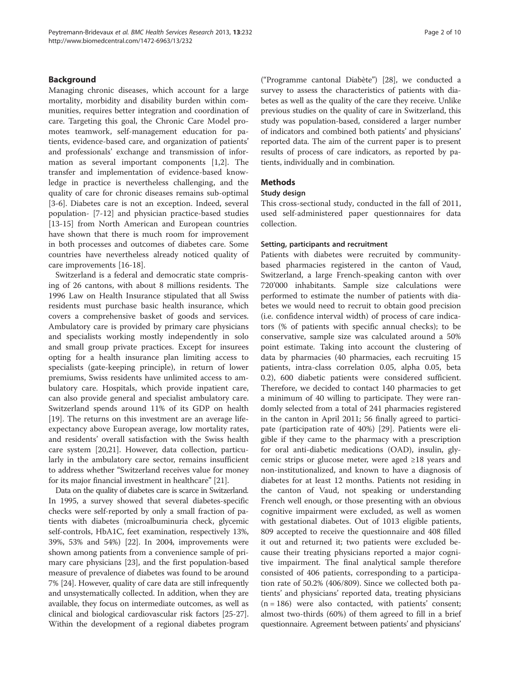## Background

Managing chronic diseases, which account for a large mortality, morbidity and disability burden within communities, requires better integration and coordination of care. Targeting this goal, the Chronic Care Model promotes teamwork, self-management education for patients, evidence-based care, and organization of patients' and professionals' exchange and transmission of information as several important components [\[1,2](#page-8-0)]. The transfer and implementation of evidence-based knowledge in practice is nevertheless challenging, and the quality of care for chronic diseases remains sub-optimal [[3-6](#page-8-0)]. Diabetes care is not an exception. Indeed, several population- [[7-12](#page-8-0)] and physician practice-based studies [[13-15](#page-8-0)] from North American and European countries have shown that there is much room for improvement in both processes and outcomes of diabetes care. Some countries have nevertheless already noticed quality of care improvements [\[16](#page-8-0)-[18\]](#page-8-0).

Switzerland is a federal and democratic state comprising of 26 cantons, with about 8 millions residents. The 1996 Law on Health Insurance stipulated that all Swiss residents must purchase basic health insurance, which covers a comprehensive basket of goods and services. Ambulatory care is provided by primary care physicians and specialists working mostly independently in solo and small group private practices. Except for insurees opting for a health insurance plan limiting access to specialists (gate-keeping principle), in return of lower premiums, Swiss residents have unlimited access to ambulatory care. Hospitals, which provide inpatient care, can also provide general and specialist ambulatory care. Switzerland spends around 11% of its GDP on health [[19\]](#page-8-0). The returns on this investment are an average lifeexpectancy above European average, low mortality rates, and residents' overall satisfaction with the Swiss health care system [\[20,21](#page-8-0)]. However, data collection, particularly in the ambulatory care sector, remains insufficient to address whether "Switzerland receives value for money for its major financial investment in healthcare" [[21](#page-8-0)].

Data on the quality of diabetes care is scarce in Switzerland. In 1995, a survey showed that several diabetes-specific checks were self-reported by only a small fraction of patients with diabetes (microalbuminuria check, glycemic self-controls, HbA1C, feet examination, respectively 13%, 39%, 53% and 54%) [\[22\]](#page-8-0). In 2004, improvements were shown among patients from a convenience sample of primary care physicians [[23](#page-8-0)], and the first population-based measure of prevalence of diabetes was found to be around 7% [\[24\]](#page-8-0). However, quality of care data are still infrequently and unsystematically collected. In addition, when they are available, they focus on intermediate outcomes, as well as clinical and biological cardiovascular risk factors [[25](#page-8-0)-[27](#page-8-0)]. Within the development of a regional diabetes program

("Programme cantonal Diabète") [[28](#page-8-0)], we conducted a survey to assess the characteristics of patients with diabetes as well as the quality of the care they receive. Unlike previous studies on the quality of care in Switzerland, this study was population-based, considered a larger number of indicators and combined both patients' and physicians' reported data. The aim of the current paper is to present results of process of care indicators, as reported by patients, individually and in combination.

## Methods

## Study design

This cross-sectional study, conducted in the fall of 2011, used self-administered paper questionnaires for data collection.

## Setting, participants and recruitment

Patients with diabetes were recruited by communitybased pharmacies registered in the canton of Vaud, Switzerland, a large French-speaking canton with over 720'000 inhabitants. Sample size calculations were performed to estimate the number of patients with diabetes we would need to recruit to obtain good precision (i.e. confidence interval width) of process of care indicators (% of patients with specific annual checks); to be conservative, sample size was calculated around a 50% point estimate. Taking into account the clustering of data by pharmacies (40 pharmacies, each recruiting 15 patients, intra-class correlation 0.05, alpha 0.05, beta 0.2), 600 diabetic patients were considered sufficient. Therefore, we decided to contact 140 pharmacies to get a minimum of 40 willing to participate. They were randomly selected from a total of 241 pharmacies registered in the canton in April 2011; 56 finally agreed to participate (participation rate of 40%) [\[29](#page-8-0)]. Patients were eligible if they came to the pharmacy with a prescription for oral anti-diabetic medications (OAD), insulin, glycemic strips or glucose meter, were aged ≥18 years and non-institutionalized, and known to have a diagnosis of diabetes for at least 12 months. Patients not residing in the canton of Vaud, not speaking or understanding French well enough, or those presenting with an obvious cognitive impairment were excluded, as well as women with gestational diabetes. Out of 1013 eligible patients, 809 accepted to receive the questionnaire and 408 filled it out and returned it; two patients were excluded because their treating physicians reported a major cognitive impairment. The final analytical sample therefore consisted of 406 patients, corresponding to a participation rate of 50.2% (406/809). Since we collected both patients' and physicians' reported data, treating physicians  $(n = 186)$  were also contacted, with patients' consent; almost two-thirds (60%) of them agreed to fill in a brief questionnaire. Agreement between patients' and physicians'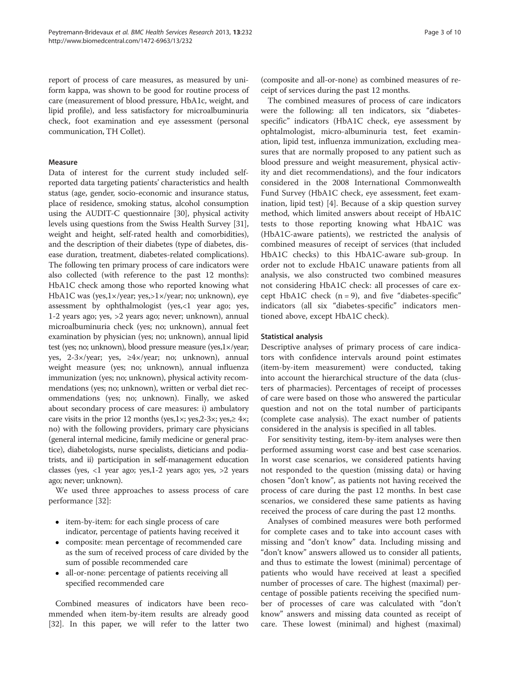report of process of care measures, as measured by uniform kappa, was shown to be good for routine process of care (measurement of blood pressure, HbA1c, weight, and lipid profile), and less satisfactory for microalbuminuria check, foot examination and eye assessment (personal communication, TH Collet).

## Measure

Data of interest for the current study included selfreported data targeting patients' characteristics and health status (age, gender, socio-economic and insurance status, place of residence, smoking status, alcohol consumption using the AUDIT-C questionnaire [\[30\]](#page-8-0), physical activity levels using questions from the Swiss Health Survey [[31](#page-8-0)], weight and height, self-rated health and comorbidities), and the description of their diabetes (type of diabetes, disease duration, treatment, diabetes-related complications). The following ten primary process of care indicators were also collected (with reference to the past 12 months): HbA1C check among those who reported knowing what HbA1C was (yes,1×/year; yes,>1×/year; no; unknown), eye assessment by ophthalmologist (yes,<1 year ago; yes, 1-2 years ago; yes, >2 years ago; never; unknown), annual microalbuminuria check (yes; no; unknown), annual feet examination by physician (yes; no; unknown), annual lipid test (yes; no; unknown), blood pressure measure (yes,1×/year; yes, 2-3×/year; yes, ≥4×/year; no; unknown), annual weight measure (yes; no; unknown), annual influenza immunization (yes; no; unknown), physical activity recommendations (yes; no; unknown), written or verbal diet recommendations (yes; no; unknown). Finally, we asked about secondary process of care measures: i) ambulatory care visits in the prior 12 months (yes,1 $\times$ ; yes,2-3 $\times$ ; yes, $\geq 4\times$ ; no) with the following providers, primary care physicians (general internal medicine, family medicine or general practice), diabetologists, nurse specialists, dieticians and podiatrists, and ii) participation in self-management education classes (yes, <1 year ago; yes,1-2 years ago; yes, >2 years ago; never; unknown).

We used three approaches to assess process of care performance [[32](#page-8-0)]:

- item-by-item: for each single process of care indicator, percentage of patients having received it
- composite: mean percentage of recommended care as the sum of received process of care divided by the sum of possible recommended care
- all-or-none: percentage of patients receiving all specified recommended care

Combined measures of indicators have been recommended when item-by-item results are already good [[32](#page-8-0)]. In this paper, we will refer to the latter two

(composite and all-or-none) as combined measures of receipt of services during the past 12 months.

The combined measures of process of care indicators were the following: all ten indicators, six "diabetesspecific" indicators (HbA1C check, eye assessment by ophtalmologist, micro-albuminuria test, feet examination, lipid test, influenza immunization, excluding measures that are normally proposed to any patient such as blood pressure and weight measurement, physical activity and diet recommendations), and the four indicators considered in the 2008 International Commonwealth Fund Survey (HbA1C check, eye assessment, feet examination, lipid test) [[4\]](#page-8-0). Because of a skip question survey method, which limited answers about receipt of HbA1C tests to those reporting knowing what HbA1C was (HbA1C-aware patients), we restricted the analysis of combined measures of receipt of services (that included HbA1C checks) to this HbA1C-aware sub-group. In order not to exclude HbA1C unaware patients from all analysis, we also constructed two combined measures not considering HbA1C check: all processes of care except HbA1C check  $(n = 9)$ , and five "diabetes-specific" indicators (all six "diabetes-specific" indicators mentioned above, except HbA1C check).

### Statistical analysis

Descriptive analyses of primary process of care indicators with confidence intervals around point estimates (item-by-item measurement) were conducted, taking into account the hierarchical structure of the data (clusters of pharmacies). Percentages of receipt of processes of care were based on those who answered the particular question and not on the total number of participants (complete case analysis). The exact number of patients considered in the analysis is specified in all tables.

For sensitivity testing, item-by-item analyses were then performed assuming worst case and best case scenarios. In worst case scenarios, we considered patients having not responded to the question (missing data) or having chosen "don't know", as patients not having received the process of care during the past 12 months. In best case scenarios, we considered these same patients as having received the process of care during the past 12 months.

Analyses of combined measures were both performed for complete cases and to take into account cases with missing and "don't know" data. Including missing and "don't know" answers allowed us to consider all patients, and thus to estimate the lowest (minimal) percentage of patients who would have received at least a specified number of processes of care. The highest (maximal) percentage of possible patients receiving the specified number of processes of care was calculated with "don't know" answers and missing data counted as receipt of care. These lowest (minimal) and highest (maximal)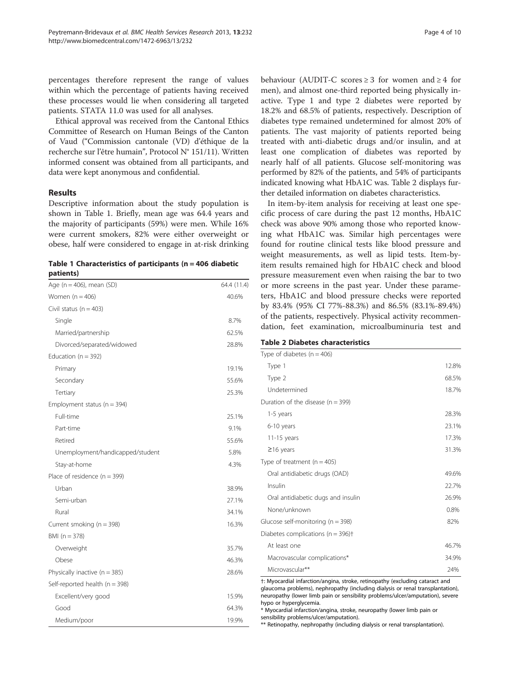percentages therefore represent the range of values within which the percentage of patients having received these processes would lie when considering all targeted patients. STATA 11.0 was used for all analyses.

Ethical approval was received from the Cantonal Ethics Committee of Research on Human Beings of the Canton of Vaud ("Commission cantonale (VD) d'éthique de la recherche sur l'être humain", Protocol N° 151/11). Written informed consent was obtained from all participants, and data were kept anonymous and confidential.

## Results

Descriptive information about the study population is shown in Table 1. Briefly, mean age was 64.4 years and the majority of participants (59%) were men. While 16% were current smokers, 82% were either overweight or obese, half were considered to engage in at-risk drinking

|           |  | Table 1 Characteristics of participants ( $n = 406$ diabetic |
|-----------|--|--------------------------------------------------------------|
| patients) |  |                                                              |

| Age ( $n = 406$ ), mean (SD)       | 64.4 (11.4) |
|------------------------------------|-------------|
| Women $(n = 406)$                  | 40.6%       |
| Civil status ( $n = 403$ )         |             |
| Single                             | 8.7%        |
| Married/partnership                | 62.5%       |
| Divorced/separated/widowed         | 28.8%       |
| Education ( $n = 392$ )            |             |
| Primary                            | 19.1%       |
| Secondary                          | 55.6%       |
| Tertiary                           | 25.3%       |
| Employment status ( $n = 394$ )    |             |
| Full-time                          | 25.1%       |
| Part-time                          | 9.1%        |
| Retired                            | 55.6%       |
| Unemployment/handicapped/student   | 5.8%        |
| Stay-at-home                       | 4.3%        |
| Place of residence $(n = 399)$     |             |
| Urban                              | 38.9%       |
| Semi-urban                         | 27.1%       |
| Rural                              | 34.1%       |
| Current smoking (n = 398)          | 16.3%       |
| $BMI (n = 378)$                    |             |
| Overweight                         | 35.7%       |
| Obese                              | 46.3%       |
| Physically inactive $(n = 385)$    | 28.6%       |
| Self-reported health ( $n = 398$ ) |             |
| Excellent/very good                | 15.9%       |
| Good                               | 64.3%       |
| Medium/poor                        | 19.9%       |

behaviour (AUDIT-C scores  $\geq$  3 for women and  $\geq$  4 for men), and almost one-third reported being physically inactive. Type 1 and type 2 diabetes were reported by 18.2% and 68.5% of patients, respectively. Description of diabetes type remained undetermined for almost 20% of patients. The vast majority of patients reported being treated with anti-diabetic drugs and/or insulin, and at least one complication of diabetes was reported by nearly half of all patients. Glucose self-monitoring was performed by 82% of the patients, and 54% of participants indicated knowing what HbA1C was. Table 2 displays further detailed information on diabetes characteristics.

In item-by-item analysis for receiving at least one specific process of care during the past 12 months, HbA1C check was above 90% among those who reported knowing what HbA1C was. Similar high percentages were found for routine clinical tests like blood pressure and weight measurements, as well as lipid tests. Item-byitem results remained high for HbA1C check and blood pressure measurement even when raising the bar to two or more screens in the past year. Under these parameters, HbA1C and blood pressure checks were reported by 83.4% (95% CI 77%-88.3%) and 86.5% (83.1%-89.4%) of the patients, respectively. Physical activity recommendation, feet examination, microalbuminuria test and

## Table 2 Diabetes characteristics

| Type of diabetes $(n = 406)$                      |       |
|---------------------------------------------------|-------|
| Type 1                                            | 12.8% |
| Type 2                                            | 68.5% |
| Undetermined                                      | 18.7% |
| Duration of the disease ( $n = 399$ )             |       |
| 1-5 years                                         | 28.3% |
| 6-10 years                                        | 23.1% |
| $11-15$ years                                     | 17.3% |
| $\geq$ 16 years                                   | 31.3% |
| Type of treatment ( $n = 405$ )                   |       |
| Oral antidiabetic drugs (OAD)                     | 49.6% |
| Insulin                                           | 22.7% |
| Oral antidiabetic dugs and insulin                | 26.9% |
| None/unknown                                      | 0.8%  |
| Glucose self-monitoring ( $n = 398$ )             | 82%   |
| Diabetes complications ( $n = 396$ ) <sup>+</sup> |       |
| At least one                                      | 46.7% |
| Macrovascular complications*                      | 34.9% |
| Microvascular**                                   | 24%   |

†: Myocardial infarction/angina, stroke, retinopathy (excluding cataract and glaucoma problems), nephropathy (including dialysis or renal transplantation), neuropathy (lower limb pain or sensibility problems/ulcer/amputation), severe hypo or hyperglycemia.

\* Myocardial infarction/angina, stroke, neuropathy (lower limb pain or sensibility problems/ulcer/amputation).

\*\* Retinopathy, nephropathy (including dialysis or renal transplantation).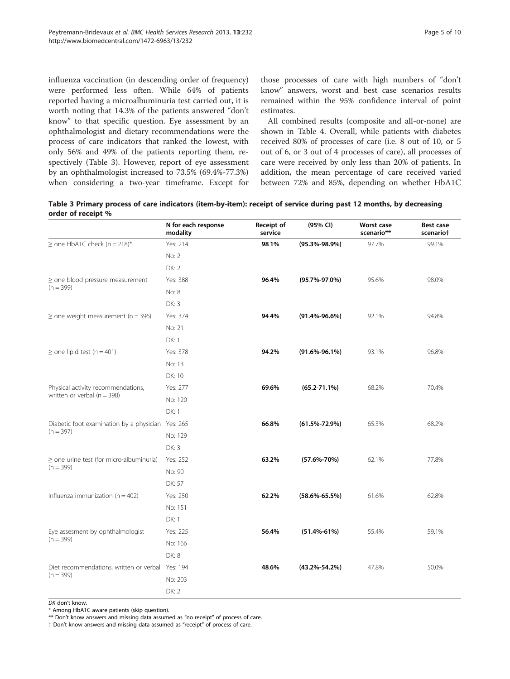influenza vaccination (in descending order of frequency) were performed less often. While 64% of patients reported having a microalbuminuria test carried out, it is worth noting that 14.3% of the patients answered "don't know" to that specific question. Eye assessment by an ophthalmologist and dietary recommendations were the process of care indicators that ranked the lowest, with only 56% and 49% of the patients reporting them, respectively (Table 3). However, report of eye assessment by an ophthalmologist increased to 73.5% (69.4%-77.3%) when considering a two-year timeframe. Except for

those processes of care with high numbers of "don't know" answers, worst and best case scenarios results remained within the 95% confidence interval of point estimates.

All combined results (composite and all-or-none) are shown in Table [4.](#page-5-0) Overall, while patients with diabetes received 80% of processes of care (i.e. 8 out of 10, or 5 out of 6, or 3 out of 4 processes of care), all processes of care were received by only less than 20% of patients. In addition, the mean percentage of care received varied between 72% and 85%, depending on whether HbA1C

Table 3 Primary process of care indicators (item-by-item): receipt of service during past 12 months, by decreasing order of receipt %

|                                                                                                                                                                                                                                                                                        | N for each response<br>modality | Receipt of<br>service | (95% CI)            | <b>Worst case</b><br>scenario** | <b>Best case</b><br>scenariot |
|----------------------------------------------------------------------------------------------------------------------------------------------------------------------------------------------------------------------------------------------------------------------------------------|---------------------------------|-----------------------|---------------------|---------------------------------|-------------------------------|
| $\ge$ one HbA1C check (n = 218)*                                                                                                                                                                                                                                                       | Yes: 214                        | 98.1%                 | $(95.3\% - 98.9\%)$ | 97.7%                           | 99.1%                         |
|                                                                                                                                                                                                                                                                                        | No: 2                           |                       |                     |                                 |                               |
|                                                                                                                                                                                                                                                                                        | <b>DK: 2</b>                    |                       |                     |                                 |                               |
| $\ge$ one blood pressure measurement<br>$(n = 399)$<br>$\ge$ one weight measurement (n = 396)<br>$\ge$ one lipid test (n = 401)<br>Physical activity recommendations,<br>written or verbal ( $n = 398$ )<br>$(n = 397)$<br>$\ge$ one urine test (for micro-albuminuria)<br>$(n = 399)$ | Yes: 388                        | 96.4%                 | (95.7%-97.0%)       | 95.6%                           | 98.0%                         |
|                                                                                                                                                                                                                                                                                        | No: 8                           |                       |                     |                                 |                               |
|                                                                                                                                                                                                                                                                                        | DK: 3                           |                       |                     |                                 |                               |
|                                                                                                                                                                                                                                                                                        | Yes: 374                        | 94.4%                 | $(91.4\% - 96.6\%)$ | 92.1%                           | 94.8%                         |
|                                                                                                                                                                                                                                                                                        | No: 21                          |                       |                     |                                 |                               |
|                                                                                                                                                                                                                                                                                        | DK: 1                           |                       |                     |                                 |                               |
|                                                                                                                                                                                                                                                                                        | Yes: 378                        | 94.2%                 | $(91.6\% - 96.1\%)$ | 93.1%                           | 96.8%                         |
|                                                                                                                                                                                                                                                                                        | No: 13                          |                       |                     |                                 |                               |
|                                                                                                                                                                                                                                                                                        | DK: 10                          |                       |                     |                                 |                               |
|                                                                                                                                                                                                                                                                                        | Yes: 277                        | 69.6%                 | $(65.2 - 71.1\%)$   | 68.2%                           | 70.4%                         |
|                                                                                                                                                                                                                                                                                        | No: 120                         |                       |                     |                                 |                               |
|                                                                                                                                                                                                                                                                                        | DK: 1                           |                       |                     |                                 |                               |
| Diabetic foot examination by a physician Yes: 265                                                                                                                                                                                                                                      |                                 | 66.8%                 | $(61.5\% - 72.9\%)$ | 65.3%                           | 68.2%                         |
|                                                                                                                                                                                                                                                                                        | No: 129                         |                       |                     |                                 |                               |
|                                                                                                                                                                                                                                                                                        | <b>DK: 3</b>                    |                       |                     |                                 |                               |
|                                                                                                                                                                                                                                                                                        | Yes: 252                        | 63.2%                 | $(57.6\% - 70\%)$   | 62.1%                           | 77.8%                         |
|                                                                                                                                                                                                                                                                                        | No: 90                          |                       |                     |                                 |                               |
|                                                                                                                                                                                                                                                                                        | DK: 57                          |                       |                     |                                 |                               |
| Influenza immunization ( $n = 402$ )                                                                                                                                                                                                                                                   | Yes: 250                        | 62.2%                 | $(58.6\% - 65.5\%)$ | 61.6%                           | 62.8%                         |
|                                                                                                                                                                                                                                                                                        | No: 151                         |                       |                     |                                 |                               |
|                                                                                                                                                                                                                                                                                        | DK: 1                           |                       |                     |                                 |                               |
| Eye assesment by ophthalmologist                                                                                                                                                                                                                                                       | Yes: 225                        | 56.4%                 | $(51.4\% - 61\%)$   | 55.4%                           | 59.1%                         |
| $(n = 399)$                                                                                                                                                                                                                                                                            | No: 166                         |                       |                     |                                 |                               |
|                                                                                                                                                                                                                                                                                        | <b>DK: 8</b>                    |                       |                     |                                 |                               |
| Diet recommendations, written or verbal Yes: 194                                                                                                                                                                                                                                       |                                 | 48.6%                 | $(43.2\% - 54.2\%)$ | 47.8%                           | 50.0%                         |
| $(n = 399)$                                                                                                                                                                                                                                                                            | No: 203                         |                       |                     |                                 |                               |
|                                                                                                                                                                                                                                                                                        | <b>DK: 2</b>                    |                       |                     |                                 |                               |

DK don't know.

\* Among HbA1C aware patients (skip question).

\*\* Don't know answers and missing data assumed as "no receipt" of process of care.

† Don't know answers and missing data assumed as "receipt" of process of care.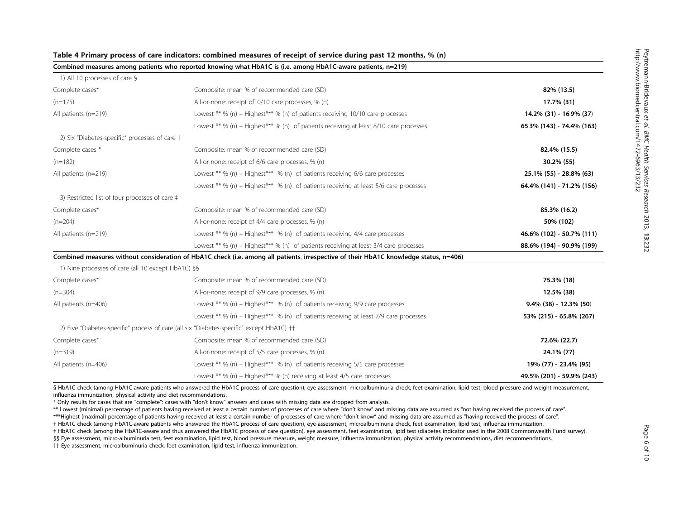|                                                    | Combined measures among patients who reported knowing what HbA1C is (i.e. among HbA1C-aware patients, n=219)                          |                           |
|----------------------------------------------------|---------------------------------------------------------------------------------------------------------------------------------------|---------------------------|
| 1) All 10 processes of care §                      |                                                                                                                                       |                           |
| Complete cases*                                    | Composite: mean % of recommended care (SD)                                                                                            | 82% (13.5)                |
| $(n=175)$                                          | All-or-none: receipt of 10/10 care processes, % (n)                                                                                   | 17.7% (31)                |
| All patients (n=219)                               | Lowest ** % (n) – Highest*** % (n) of patients receiving 10/10 care processes                                                         | 14.2% (31) - 16.9% (37)   |
|                                                    | Lowest ** % (n) – Highest*** % (n) of patients receiving at least $8/10$ care processes                                               | 65.3% (143) - 74.4% (163) |
| 2) Six "Diabetes-specific" processes of care +     |                                                                                                                                       |                           |
| Complete cases *                                   | Composite: mean % of recommended care (SD)                                                                                            | 82.4% (15.5)              |
| $(n=182)$                                          | All-or-none: receipt of 6/6 care processes, % (n)                                                                                     | 30.2% (55)                |
| All patients (n=219)                               | Lowest ** % (n) - Highest*** % (n) of patients receiving 6/6 care processes                                                           | 25.1% (55) - 28.8% (63)   |
|                                                    | Lowest ** % (n) – Highest*** % (n) of patients receiving at least $5/6$ care processes                                                | 64.4% (141) - 71.2% (156) |
| 3) Restricted list of four processes of care ‡     |                                                                                                                                       |                           |
| Complete cases*                                    | Composite: mean % of recommended care (SD)                                                                                            | 85.3% (16.2)              |
| $(n=204)$                                          | All-or-none: receipt of 4/4 care processes, % (n)                                                                                     | 50% (102)                 |
| All patients (n=219)                               | Lowest ** % (n) – Highest*** % (n) of patients receiving $4/4$ care processes                                                         | 46.6% (102) - 50.7% (111) |
|                                                    | Lowest ** % (n) – Highest*** % (n) of patients receiving at least $3/4$ care processes                                                | 88.6% (194) - 90.9% (199) |
|                                                    | Combined measures without consideration of HbA1C check (i.e. among all patients, irrespective of their HbA1C knowledge status, n=406) |                           |
| 1) Nine processes of care (all 10 except HbA1C) §§ |                                                                                                                                       |                           |
| Complete cases*                                    | Composite: mean % of recommended care (SD)                                                                                            | 75.3% (18)                |
| $(n=304)$                                          | All-or-none: receipt of 9/9 care processes, % (n)                                                                                     | 12.5% (38)                |
| All patients (n=406)                               | Lowest ** % (n) – Highest*** % (n) of patients receiving $9/9$ care processes                                                         | $9.4\%$ (38) - 12.3% (50) |
|                                                    | Lowest ** % (n) – Highest*** % (n) of patients receiving at least 7/9 care processes                                                  | 53% (215) - 65.8% (267)   |
|                                                    | 2) Five "Diabetes-specific" process of care (all six "Diabetes-specific" except HbA1C) ††                                             |                           |
| Complete cases*                                    | Composite: mean % of recommended care (SD)                                                                                            | 72.6% (22.7)              |
| $(n=319)$                                          | All-or-none: receipt of 5/5 care processes, % (n)                                                                                     | 24.1% (77)                |
| All patients (n=406)                               | Lowest ** % (n) – Highest*** % (n) of patients receiving $5/5$ care processes                                                         | 19% (77) - 23.4% (95)     |
|                                                    | Lowest ** % (n) - Highest*** % (n) receiving at least 4/5 care processes                                                              | 49.5% (201) - 59.9% (243) |

<span id="page-5-0"></span>Table <sup>4</sup> Primary process of care indicators: combined measures of receipt of service during past 12 months, % (n)

§ HbA1C check (among HbA1C-aware patients who answered the HbA1C process of care question), eye assessment, microalbuminuria check, feet examination, lipid test, blood pressure and weight measurement, influenza immunization, physical activity and diet recommendations.

\* Only results for cases that are "complete": cases with "don'<sup>t</sup> know" answers and cases with missing data are dropped from analysis.

\*\* Lowest (minimal) percentage of patients having received at least <sup>a</sup> certain number of processes of care where "don'<sup>t</sup> know" and missing data are assumed as "not having received the process of care".

\*\*\*Highest (maximal) percentage of patients having received at least <sup>a</sup> certain number of processes of care where "don'<sup>t</sup> know" and missing data are assumed as "having received the process of care".

† HbA1C check (among HbA1C-aware patients who answered the HbA1C process of care question), eye assessment, microalbuminuria check, feet examination, lipid test, influenza immunization.

‡ HbA1C check (among the HbA1C-aware and thus answered the HbA1C process of care question), eye assessment, feet examination, lipid test (diabetes indicator used in the 2008 Commonwealth Fund survey).

§§ Eye assessment, micro-albuminuria test, feet examination, lipid test, blood pressure measure, weight measure, influenza immunization, physical activity recommendations, diet recommendations.

†† Eye assessment, microalbuminuria check, feet examination, lipid test, influenza immunization.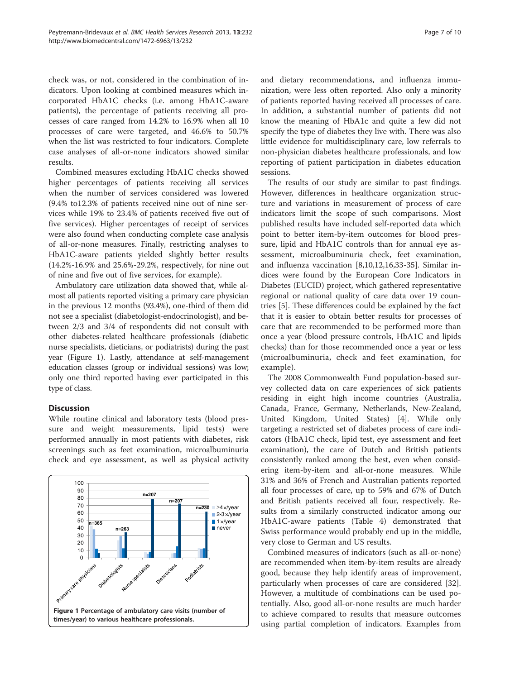check was, or not, considered in the combination of indicators. Upon looking at combined measures which incorporated HbA1C checks (i.e. among HbA1C-aware patients), the percentage of patients receiving all processes of care ranged from 14.2% to 16.9% when all 10 processes of care were targeted, and 46.6% to 50.7% when the list was restricted to four indicators. Complete case analyses of all-or-none indicators showed similar results.

Combined measures excluding HbA1C checks showed higher percentages of patients receiving all services when the number of services considered was lowered (9.4% to12.3% of patients received nine out of nine services while 19% to 23.4% of patients received five out of five services). Higher percentages of receipt of services were also found when conducting complete case analysis of all-or-none measures. Finally, restricting analyses to HbA1C-aware patients yielded slightly better results (14.2%-16.9% and 25.6%-29.2%, respectively, for nine out of nine and five out of five services, for example).

Ambulatory care utilization data showed that, while almost all patients reported visiting a primary care physician in the previous 12 months (93.4%), one-third of them did not see a specialist (diabetologist-endocrinologist), and between 2/3 and 3/4 of respondents did not consult with other diabetes-related healthcare professionals (diabetic nurse specialists, dieticians, or podiatrists) during the past year (Figure 1). Lastly, attendance at self-management education classes (group or individual sessions) was low; only one third reported having ever participated in this type of class.

## **Discussion**

While routine clinical and laboratory tests (blood pressure and weight measurements, lipid tests) were performed annually in most patients with diabetes, risk screenings such as feet examination, microalbuminuria check and eye assessment, as well as physical activity



and dietary recommendations, and influenza immunization, were less often reported. Also only a minority of patients reported having received all processes of care. In addition, a substantial number of patients did not know the meaning of HbA1c and quite a few did not specify the type of diabetes they live with. There was also little evidence for multidisciplinary care, low referrals to non-physician diabetes healthcare professionals, and low reporting of patient participation in diabetes education sessions.

The results of our study are similar to past findings. However, differences in healthcare organization structure and variations in measurement of process of care indicators limit the scope of such comparisons. Most published results have included self-reported data which point to better item-by-item outcomes for blood pressure, lipid and HbA1C controls than for annual eye assessment, microalbuminuria check, feet examination, and influenza vaccination [[8](#page-8-0),[10](#page-8-0),[12](#page-8-0),[16,33](#page-8-0)-[35\]](#page-8-0). Similar indices were found by the European Core Indicators in Diabetes (EUCID) project, which gathered representative regional or national quality of care data over 19 countries [\[5](#page-8-0)]. These differences could be explained by the fact that it is easier to obtain better results for processes of care that are recommended to be performed more than once a year (blood pressure controls, HbA1C and lipids checks) than for those recommended once a year or less (microalbuminuria, check and feet examination, for example).

The 2008 Commonwealth Fund population-based survey collected data on care experiences of sick patients residing in eight high income countries (Australia, Canada, France, Germany, Netherlands, New-Zealand, United Kingdom, United States) [[4\]](#page-8-0). While only targeting a restricted set of diabetes process of care indicators (HbA1C check, lipid test, eye assessment and feet examination), the care of Dutch and British patients consistently ranked among the best, even when considering item-by-item and all-or-none measures. While 31% and 36% of French and Australian patients reported all four processes of care, up to 59% and 67% of Dutch and British patients received all four, respectively. Results from a similarly constructed indicator among our HbA1C-aware patients (Table [4](#page-5-0)) demonstrated that Swiss performance would probably end up in the middle, very close to German and US results.

Combined measures of indicators (such as all-or-none) are recommended when item-by-item results are already good, because they help identify areas of improvement, particularly when processes of care are considered [\[32](#page-8-0)]. However, a multitude of combinations can be used potentially. Also, good all-or-none results are much harder to achieve compared to results that measure outcomes using partial completion of indicators. Examples from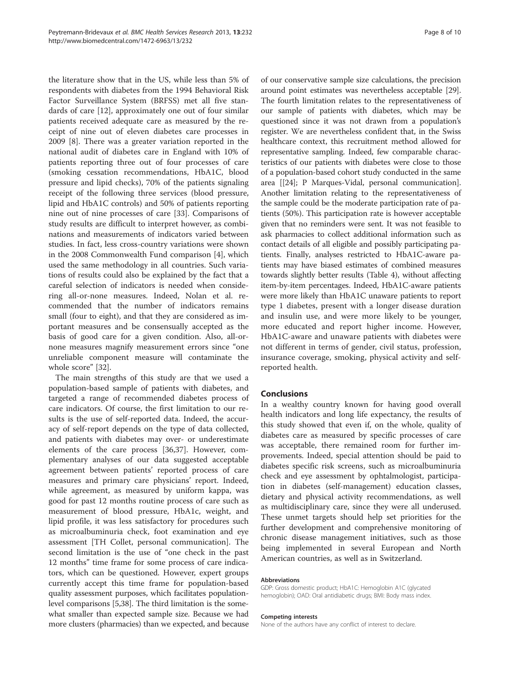the literature show that in the US, while less than 5% of respondents with diabetes from the 1994 Behavioral Risk Factor Surveillance System (BRFSS) met all five standards of care [[12\]](#page-8-0), approximately one out of four similar patients received adequate care as measured by the receipt of nine out of eleven diabetes care processes in 2009 [[8](#page-8-0)]. There was a greater variation reported in the national audit of diabetes care in England with 10% of patients reporting three out of four processes of care (smoking cessation recommendations, HbA1C, blood pressure and lipid checks), 70% of the patients signaling receipt of the following three services (blood pressure, lipid and HbA1C controls) and 50% of patients reporting nine out of nine processes of care [\[33\]](#page-8-0). Comparisons of study results are difficult to interpret however, as combinations and measurements of indicators varied between studies. In fact, less cross-country variations were shown in the 2008 Commonwealth Fund comparison [[4\]](#page-8-0), which used the same methodology in all countries. Such variations of results could also be explained by the fact that a careful selection of indicators is needed when considering all-or-none measures. Indeed, Nolan et al. recommended that the number of indicators remains small (four to eight), and that they are considered as important measures and be consensually accepted as the basis of good care for a given condition. Also, all-ornone measures magnify measurement errors since "one unreliable component measure will contaminate the whole score" [[32\]](#page-8-0).

The main strengths of this study are that we used a population-based sample of patients with diabetes, and targeted a range of recommended diabetes process of care indicators. Of course, the first limitation to our results is the use of self-reported data. Indeed, the accuracy of self-report depends on the type of data collected, and patients with diabetes may over- or underestimate elements of the care process [[36,37\]](#page-9-0). However, complementary analyses of our data suggested acceptable agreement between patients' reported process of care measures and primary care physicians' report. Indeed, while agreement, as measured by uniform kappa, was good for past 12 months routine process of care such as measurement of blood pressure, HbA1c, weight, and lipid profile, it was less satisfactory for procedures such as microalbuminuria check, foot examination and eye assessment [TH Collet, personal communication]. The second limitation is the use of "one check in the past 12 months" time frame for some process of care indicators, which can be questioned. However, expert groups currently accept this time frame for population-based quality assessment purposes, which facilitates populationlevel comparisons [\[5](#page-8-0)[,38\]](#page-9-0). The third limitation is the somewhat smaller than expected sample size. Because we had more clusters (pharmacies) than we expected, and because

of our conservative sample size calculations, the precision around point estimates was nevertheless acceptable [[29](#page-8-0)]. The fourth limitation relates to the representativeness of our sample of patients with diabetes, which may be questioned since it was not drawn from a population's register. We are nevertheless confident that, in the Swiss healthcare context, this recruitment method allowed for representative sampling. Indeed, few comparable characteristics of our patients with diabetes were close to those of a population-based cohort study conducted in the same area [[[24](#page-8-0)]; P Marques-Vidal, personal communication]. Another limitation relating to the representativeness of the sample could be the moderate participation rate of patients (50%). This participation rate is however acceptable given that no reminders were sent. It was not feasible to ask pharmacies to collect additional information such as contact details of all eligible and possibly participating patients. Finally, analyses restricted to HbA1C-aware patients may have biased estimates of combined measures towards slightly better results (Table [4](#page-5-0)), without affecting item-by-item percentages. Indeed, HbA1C-aware patients were more likely than HbA1C unaware patients to report type 1 diabetes, present with a longer disease duration and insulin use, and were more likely to be younger, more educated and report higher income. However, HbA1C-aware and unaware patients with diabetes were not different in terms of gender, civil status, profession, insurance coverage, smoking, physical activity and selfreported health.

## Conclusions

In a wealthy country known for having good overall health indicators and long life expectancy, the results of this study showed that even if, on the whole, quality of diabetes care as measured by specific processes of care was acceptable, there remained room for further improvements. Indeed, special attention should be paid to diabetes specific risk screens, such as microalbuminuria check and eye assessment by ophtalmologist, participation in diabetes (self-management) education classes, dietary and physical activity recommendations, as well as multidisciplinary care, since they were all underused. These unmet targets should help set priorities for the further development and comprehensive monitoring of chronic disease management initiatives, such as those being implemented in several European and North American countries, as well as in Switzerland.

#### Abbreviations

GDP: Gross domestic product; HbA1C: Hemoglobin A1C (glycated hemoglobin); OAD: Oral antidiabetic drugs; BMI: Body mass index.

#### Competing interests

None of the authors have any conflict of interest to declare.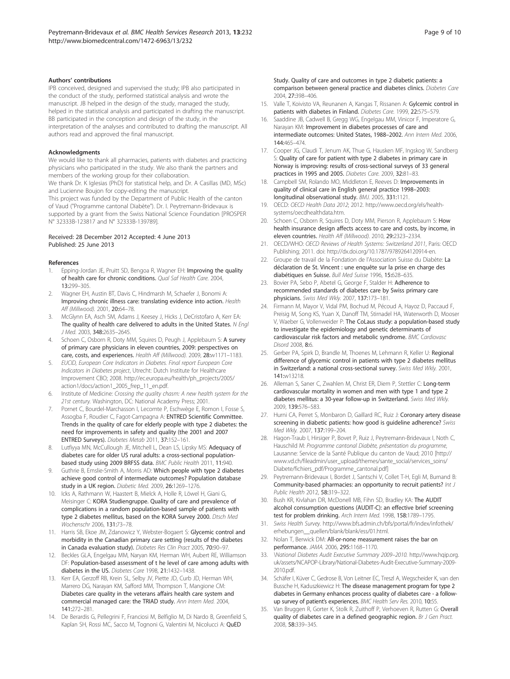#### <span id="page-8-0"></span>Authors' contributions

IPB conceived, designed and supervised the study; IPB also participated in the conduct of the study, performed statistical analysis and wrote the manuscript. JB helped in the design of the study, managed the study, helped in the statistical analysis and participated in drafting the manuscript. BB participated in the conception and design of the study, in the interpretation of the analyses and contributed to drafting the manuscript. All authors read and approved the final manuscript.

#### Acknowledgments

We would like to thank all pharmacies, patients with diabetes and practicing physicians who participated in the study. We also thank the partners and members of the working group for their collaboration.

We thank Dr. K Iglesias (PhD) for statistical help, and Dr. A Casillas (MD, MSc) and Lucienne Boujon for copy-editing the manuscript.

This project was funded by the Department of Public Health of the canton of Vaud ("Programme cantonal Diabète"). Dr. I. Peytremann-Bridevaux is supported by a grant from the Swiss National Science Foundation [PROSPER N° 32333B-123817 and N° 32333B-139789].

#### Received: 28 December 2012 Accepted: 4 June 2013 Published: 25 June 2013

#### References

- Epping-Jordan JE, Pruitt SD, Bengoa R, Wagner EH: Improving the quality of health care for chronic conditions. Qual Saf Health Care. 2004, 13:299–305.
- 2. Wagner EH, Austin BT, Davis C, Hindmarsh M, Schaefer J, Bonomi A: Improving chronic illness care: translating evidence into action. Health Aff (Millwood). 2001, 20:64–78.
- 3. McGlynn EA, Asch SM, Adams J, Keesey J, Hicks J, DeCristofaro A, Kerr EA: The quality of health care delivered to adults in the United States. N Engl J Med. 2003, 348:2635–2645.
- Schoen C, Osborn R, Doty MM, Squires D, Peugh J, Applebaum S: A survey of primary care physicians in eleven countries, 2009: perspectives on care, costs, and experiences. Health Aff (Millwood). 2009, 28:w1171–1183.
- 5. EUCID, European Core Indicators in Diabetes. Final report European Core Indicators in Diabetes project, Utrecht: Dutch Institute for Healthcare Improvement CBO; 2008. [http://ec.europa.eu/health/ph\\_projects/2005/](http://ec.europa.eu/health/ph_projects/2005/action1/docs/action1_2005_frep_11_en.pdf) [action1/docs/action1\\_2005\\_frep\\_11\\_en.pdf.](http://ec.europa.eu/health/ph_projects/2005/action1/docs/action1_2005_frep_11_en.pdf)
- Institute of Medicine: Crossing the quality chasm: A new health system for the 21st century. Washington, DC: National Academy Press; 2001.
- 7. Pornet C, Bourdel-Marchasson I, Lecomte P, Eschwège E, Romon I, Fosse S, Assogba F, Roudier C, Fagot-Campagna A: ENTRED Scientific Committee. Trends in the quality of care for elderly people with type 2 diabetes: the need for improvements in safety and quality (the 2001 and 2007 ENTRED Surveys). Diabetes Metab 2011, 37:152–161.
- Lutfiyya MN, McCullough JE, Mitchell L, Dean LS, Lipsky MS: Adequacy of diabetes care for older US rural adults: a cross-sectional populationbased study using 2009 BRFSS data. BMC Public Health 2011, 11:940.
- Guthrie B, Emslie-Smith A, Morris AD: Which people with type 2 diabetes achieve good control of intermediate outcomes? Population database study in a UK region. Diabetic Med. 2009, 26:1269–1276.
- 10. Icks A, Rathmann W, Haastert B, Mielck A, Holle R, Löwel H, Giani G, Meisinger C: KORA Studiengruppe. Quality of care and prevalence of complications in a random population-based sample of patients with type 2 diabetes mellitus, based on the KORA Survey 2000. Dtsch Med Wochenschr 2006, 131:73–78.
- 11. Harris SB, Ekoe JM, Zdanowicz Y, Webster-Bogaert S: Glycemic control and morbidity in the Canadian primary care setting (results of the diabetes in Canada evaluation study). Diabetes Res Clin Pract 2005, 70:90-97.
- 12. Beckles GLA, Engelgau MM, Naryan KM, Herman WH, Aubert RE, Williamson DF: Population-based assessment of t he level of care among adults with diabetes in the US. Diabetes Care 1998, 21:1432–1438.
- 13. Kerr EA, Gerzoff RB, Krein SL, Selby JV, Piette JD, Curb JD, Herman WH, Marrero DG, Narayan KM, Safford MM, Thompson T, Mangione CM: Diabetes care quality in the veterans affairs health care system and commercial managed care: the TRIAD study. Ann Intern Med. 2004, 141:272–281.
- 14. De Berardis G, Pellegrini F, Franciosi M, Belfiglio M, Di Nardo B, Greenfield S, Kaplan SH, Rossi MC, Sacco M, Tognoni G, Valentini M, Nicolucci A: QuED

Study. Quality of care and outcomes in type 2 diabetic patients: a comparison between general practice and diabetes clinics. Diabetes Care 2004, 27:398–406.

- 15. Valle T, Koivisto VA, Reunanen A, Kangas T, Rissanen A: Gylcemic control in patients with diabetes in Finland. Diabetes Care. 1999, 22:575–579.
- 16. Saaddine JB, Cadwell B, Gregg WG, Engelgau MM, Vinicor F, Imperatore G, Narayan KM: Improvement in diabetes processes of care and intermediate outcomes: United States, 1988–2002. Ann Intern Med. 2006, 144:465–474.
- 17. Cooper JG, Claudi T, Jenum AK, Thue G, Hausken MF, Ingskog W, Sandberg S: Quality of care for patient with type 2 diabetes in primary care in Norway is improving: results of cross-sectional surveys of 33 general practices in 1995 and 2005. Diabetes Care. 2009, 32:81–83.
- 18. Campbell SM, Rolando MO, Middleton E, Reeves D: Improvements in quality of clinical care in English general practice 1998–2003: longitudinal observational study. BMJ. 2005, 331:1121.
- 19. OECD: OECD Health Data 2012; 2012. [http://www.oecd.org/els/health](http://www.oecd.org/els/health-systems/oecdhealthdata.htm)[systems/oecdhealthdata.htm.](http://www.oecd.org/els/health-systems/oecdhealthdata.htm)
- 20. Schoen C, Osborn R, Squires D, Doty MM, Pierson R, Applebaum S: How health insurance design affects access to care and costs, by income, in eleven countries. Health Aff (Millwood). 2010, 29:2323–2334.
- 21. OECD/WHO: OECD Reviews of Health Systems: Switzerland 2011, Paris: OECD Publishing; 2011. doi:<http://dx.doi.org/10.1787/9789264120914-en>.
- 22. Groupe de travail de la Fondation de l'Association Suisse du Diabète: La déclaration de St. Vincent : une enquête sur la prise en charge des diabétiques en Suisse. Bull Med Suisse 1996, 15:628–635.
- 23. Bovier PA, Sebo P, Abetel G, George F, Stalder H: Adherence to recommended standards of diabetes care by Swiss primary care physicians. Swiss Med Wkly. 2007, 137:173–181.
- 24. Firmann M, Mayor V, Vidal PM, Bochud M, Pécoud A, Hayoz D, Paccaud F, Preisig M, Song KS, Yuan X, Danoff TM, Stirnadel HA, Waterworth D, Mooser V, Waeber G, Vollenweider P: The CoLaus study: a population-based study to investigate the epidemiology and genetic determinants of cardiovascular risk factors and metabolic syndrome. BMC Cardiovasc Disord 2008, 8:6.
- Gerber PA, Spirk D, Brandle M, Thoenes M, Lehmann R, Keller U: Regional difference of glycemic control in patients with type 2 diabetes mellitus in Switzerland: a national cross-sectional survey. Swiss Med Wkly. 2001, 141:w13218.
- 26. Alleman S, Saner C, Zwahlen M, Christ ER, Diem P, Stettler C: Long-term cardiovascular mortality in women and men with type 1 and type 2 diabetes mellitus: a 30-year follow-up in Switzerland. Swiss Med Wkly. 2009, 139:576–583.
- 27. Hurni CA, Perret S, Monbaron D, Gaillard RC, Ruiz J: Coronary artery disease screening in diabetic patients: how good is guideline adherence? Swiss Med Wkly. 2007, 137:199–204.
- 28. Hagon-Traub I, Hirsiger P, Bovet P, Ruiz J, Peytremann-Bridevaux I, Noth C, Hauschild M: Programme cantonal Diabète, présentation du programme, Lausanne: Service de la Santé Publique du canton de Vaud; 2010 [[http://](http://www.vd.ch/fileadmin/user_upload/themes/sante_social/services_soins/Diabete/fichiers_pdf/Programme_cantonal.pdf) [www.vd.ch/fileadmin/user\\_upload/themes/sante\\_social/services\\_soins/](http://www.vd.ch/fileadmin/user_upload/themes/sante_social/services_soins/Diabete/fichiers_pdf/Programme_cantonal.pdf) [Diabete/fichiers\\_pdf/Programme\\_cantonal.pdf\]](http://www.vd.ch/fileadmin/user_upload/themes/sante_social/services_soins/Diabete/fichiers_pdf/Programme_cantonal.pdf)
- 29. Peytremann-Bridevaux I, Bordet J, Santschi V, Collet T-H, Egli M, Burnand B: Community-based pharmacies: an opportunity to recruit patients? Int J Public Health 2012, 58:319–322.
- 30. Bush KR, Kivlahan DR, McDonell MB, Fihn SD, Bradley KA: The AUDIT alcohol consumption questions (AUDIT-C): an effective brief screening test for problem drinking. Arch Intern Med. 1998, 158:1789–1795.
- 31. Swiss Health Survey. [http://www.bfs.admin.ch/bfs/portal/fr/index/infothek/](http://www.bfs.admin.ch/bfs/portal/fr/index/infothek/erhebungen__quellen/blank/blank/ess/01.html) [erhebungen\\_\\_quellen/blank/blank/ess/01.html](http://www.bfs.admin.ch/bfs/portal/fr/index/infothek/erhebungen__quellen/blank/blank/ess/01.html).
- 32. Nolan T, Berwick DM: All-or-none measurement raises the bar on performance. JAMA. 2006, 295:1168–1170.
- 33. \National Diabetes Audit Executive Summary 2009–2010. [http://www.hqip.org.](http://www.hqip.org.uk/assets/NCAPOP-Library/National-Diabetes-Audit-Executive-Summary-2009-2010.pdf) [uk/assets/NCAPOP-Library/National-Diabetes-Audit-Executive-Summary-2009-](http://www.hqip.org.uk/assets/NCAPOP-Library/National-Diabetes-Audit-Executive-Summary-2009-2010.pdf) [2010.pdf](http://www.hqip.org.uk/assets/NCAPOP-Library/National-Diabetes-Audit-Executive-Summary-2009-2010.pdf).
- 34. Schäfer I, Küver C, Gedrose B, Von Leitner EC, Treszl A, Wegscheider K, van den Bussche H, Kaduszkiewicz H: The disease management program for type 2 diabetes in Germany enhances process quality of diabetes care - a followup survey of patient's experiences. BMC Health Serv Res. 2010, 10:55.
- 35. Van Bruggen R, Gorter K, Stolk R, Zuithoff P, Verhoeven R, Rutten G: Overall quality of diabetes care in a defined geographic region. Br J Gen Pract. 2008, 58:339–345.